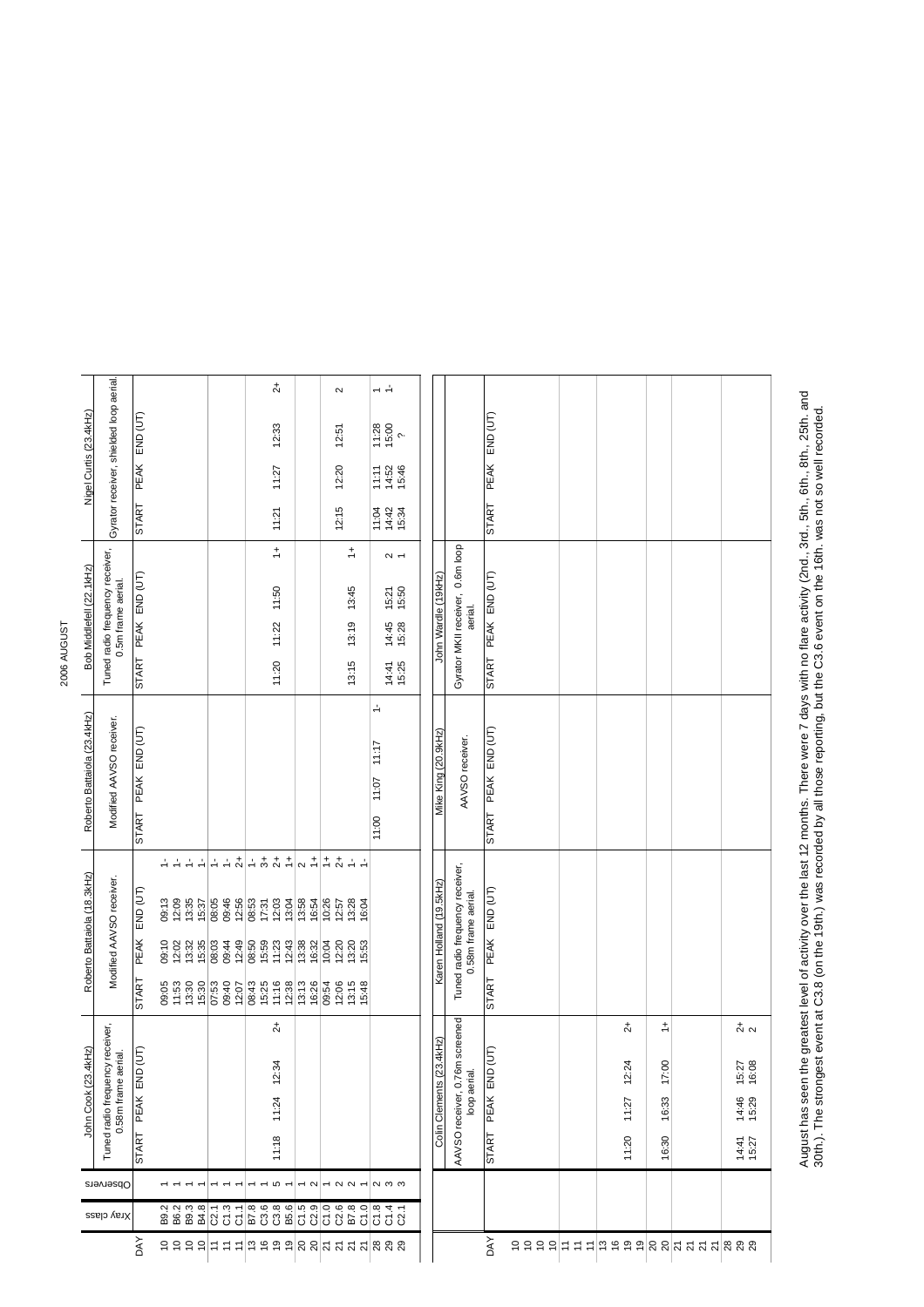| ì |  |
|---|--|
|   |  |
|   |  |

|                             |                                                       |                     |                     |                                                                                                                                |       |                |       |       |  | $\overline{c}$                                                                                                                                                                                                                                                                                                                                                                                                                                                            |       |               | $\boldsymbol{\sim}$    |                  | $\div$ $\rightarrow$    |                     |  |                         |                                                        |                     |  |               |            |                                                                               |                |
|-----------------------------|-------------------------------------------------------|---------------------|---------------------|--------------------------------------------------------------------------------------------------------------------------------|-------|----------------|-------|-------|--|---------------------------------------------------------------------------------------------------------------------------------------------------------------------------------------------------------------------------------------------------------------------------------------------------------------------------------------------------------------------------------------------------------------------------------------------------------------------------|-------|---------------|------------------------|------------------|-------------------------|---------------------|--|-------------------------|--------------------------------------------------------|---------------------|--|---------------|------------|-------------------------------------------------------------------------------|----------------|
| Nigel Curtis (23.4kHz)      | Gyrator receiver, shielded loop aerial                | PEAK END (UT)       |                     |                                                                                                                                |       |                |       |       |  | 12:33                                                                                                                                                                                                                                                                                                                                                                                                                                                                     |       |               | 12:51                  |                  | $\frac{11.28}{15.00}$   |                     |  |                         |                                                        | PEAK END (UT)       |  |               |            |                                                                               |                |
|                             |                                                       |                     |                     |                                                                                                                                |       |                |       |       |  | 11:27                                                                                                                                                                                                                                                                                                                                                                                                                                                                     |       |               | 12:20                  |                  | 11:11<br>14:52<br>15:46 |                     |  |                         |                                                        |                     |  |               |            |                                                                               |                |
|                             |                                                       | <b>START</b>        |                     |                                                                                                                                |       |                |       |       |  | 11:21                                                                                                                                                                                                                                                                                                                                                                                                                                                                     |       |               | 12:15                  |                  | 11:04<br>14:42<br>15:34 |                     |  |                         |                                                        | <b>START</b>        |  |               |            |                                                                               |                |
|                             | Tuned radio frequency receiver,<br>0.5m frame aerial. |                     |                     |                                                                                                                                |       |                |       |       |  | $\stackrel{+}{\rightharpoondown}$                                                                                                                                                                                                                                                                                                                                                                                                                                         |       |               |                        | ÷                |                         | $\sim$ $-$          |  |                         |                                                        |                     |  |               |            |                                                                               |                |
|                             |                                                       |                     | START PEAK END (UT) |                                                                                                                                |       |                |       | 11:50 |  |                                                                                                                                                                                                                                                                                                                                                                                                                                                                           |       |               |                        | 13:45            |                         | $15:21$<br>$15:50$  |  |                         | Gyrator MKII receiver,  0.6m loop<br>aerial.           |                     |  |               |            |                                                                               |                |
| Bob Middlefell (22.1kHz)    |                                                       |                     |                     |                                                                                                                                |       |                | 11:22 |       |  |                                                                                                                                                                                                                                                                                                                                                                                                                                                                           | 13:19 |               | 14:45<br>15:28         |                  | John Wardle (19kHz)     | START PEAK END (UT) |  |                         |                                                        |                     |  |               |            |                                                                               |                |
|                             |                                                       |                     |                     |                                                                                                                                |       |                |       |       |  |                                                                                                                                                                                                                                                                                                                                                                                                                                                                           |       |               |                        |                  |                         |                     |  |                         |                                                        |                     |  |               |            |                                                                               |                |
|                             |                                                       |                     |                     |                                                                                                                                |       |                |       |       |  | 11:20                                                                                                                                                                                                                                                                                                                                                                                                                                                                     |       |               |                        | 13:15            |                         | 14:41<br>15:25      |  |                         |                                                        |                     |  |               |            |                                                                               |                |
|                             | Modified AAVSO receiver.                              |                     |                     |                                                                                                                                |       |                |       |       |  |                                                                                                                                                                                                                                                                                                                                                                                                                                                                           |       |               |                        |                  |                         |                     |  |                         |                                                        |                     |  |               |            |                                                                               |                |
| Roberto Battaiola (23.4kHz) |                                                       | START PEAK END (UT) |                     |                                                                                                                                |       |                |       |       |  |                                                                                                                                                                                                                                                                                                                                                                                                                                                                           |       |               |                        |                  | 11:17                   |                     |  | Mike King (20.9kHz)     |                                                        | START PEAK END (UT) |  |               |            |                                                                               |                |
|                             |                                                       |                     |                     |                                                                                                                                |       |                |       |       |  |                                                                                                                                                                                                                                                                                                                                                                                                                                                                           |       |               |                        |                  | 11:07                   |                     |  |                         | AAVSO receiver.                                        |                     |  |               |            |                                                                               |                |
|                             |                                                       |                     |                     |                                                                                                                                |       |                |       |       |  |                                                                                                                                                                                                                                                                                                                                                                                                                                                                           |       |               |                        |                  |                         |                     |  |                         |                                                        |                     |  |               |            |                                                                               |                |
|                             |                                                       |                     |                     |                                                                                                                                |       |                |       |       |  |                                                                                                                                                                                                                                                                                                                                                                                                                                                                           |       |               |                        |                  | 11:00                   |                     |  |                         |                                                        |                     |  |               |            |                                                                               |                |
|                             | Modified AAVSO receiver.                              |                     |                     | 로로로리는로치는 후호회( <u>이 뒤</u> 는 알로로                                                                                                 |       |                |       |       |  |                                                                                                                                                                                                                                                                                                                                                                                                                                                                           |       |               |                        |                  |                         |                     |  |                         |                                                        |                     |  |               |            |                                                                               |                |
| Roberto Battaiola (18.3kHz) |                                                       | END (UT)            |                     | 09:13<br>12:09<br>13:35                                                                                                        | 15:37 | 08:05<br>09:46 | 12:56 |       |  |                                                                                                                                                                                                                                                                                                                                                                                                                                                                           |       |               |                        |                  |                         |                     |  | Karen Holland (19.5kHz) | Tuned radio frequency receiver,<br>0.58m frame aerial. | PEAK END (UT)       |  |               |            |                                                                               |                |
|                             |                                                       | <b>PEAK</b>         |                     | $\begin{array}{ccc}\n 6 & 6 & 6 & 6 \\  6 & 6 & 6 & 6 \\  7 & 6 & 6 & 6 \\  8 & 8 & 10 & 6 \\  10 & 10 & 14 & 6\n \end{array}$ |       |                |       |       |  | $\begin{array}{l l} \hline \mathbf{\dot{q}} & \mathbf{\ddot{q}} & \mathbf{\ddot{q}} \\ \hline \mathbf{\dot{q}} & \mathbf{\ddot{q}} & \mathbf{\ddot{q}} & \mathbf{\ddot{q}} \\ \hline \mathbf{\ddot{q}} & \mathbf{\ddot{q}} & \mathbf{\ddot{q}} & \mathbf{\ddot{q}} \\ \hline \mathbf{\ddot{q}} & \mathbf{\ddot{q}} & \mathbf{\ddot{q}} & \mathbf{\ddot{q}} \\ \hline \mathbf{\ddot{q}} & \mathbf{\ddot{q}} & \mathbf{\ddot{q}} & \mathbf{\ddot{q}} \\ \hline \mathbf{\dd$ |       |               |                        |                  |                         |                     |  |                         |                                                        |                     |  |               |            |                                                                               |                |
|                             |                                                       | <b>START</b>        | 09:05<br>11:53      | 13:30<br>15:30                                                                                                                 |       | 03:40          | 12:07 |       |  | $8438$ $1138$ $1138$ $1138$ $1138$                                                                                                                                                                                                                                                                                                                                                                                                                                        |       |               | 09:54<br>12:06         | $13:15$<br>15:48 |                         |                     |  |                         |                                                        | <b>START</b>        |  |               |            |                                                                               |                |
| John Cook (23.4kHz)         | receiver,                                             |                     |                     |                                                                                                                                |       |                |       |       |  | $\stackrel{+}{\sim}$                                                                                                                                                                                                                                                                                                                                                                                                                                                      |       |               |                        |                  |                         |                     |  |                         | screened                                               |                     |  | $\frac{1}{2}$ | $\ddot{ }$ |                                                                               | $\frac{1}{2}$  |
|                             | 0.58m frame aerial.<br>Tuned radio frequency          |                     |                     |                                                                                                                                |       |                |       |       |  | 12:34                                                                                                                                                                                                                                                                                                                                                                                                                                                                     |       |               |                        |                  |                         |                     |  | 4kHz)                   |                                                        |                     |  | 12:24         | 17:00      |                                                                               | 15:27<br>16:08 |
|                             |                                                       | START PEAK END (UT) |                     |                                                                                                                                |       |                |       |       |  |                                                                                                                                                                                                                                                                                                                                                                                                                                                                           |       |               |                        |                  |                         |                     |  | Colin Clements (23.     | AAVSO receiver, 0.76m<br>loop aerial.                  | PEAK END (UT)       |  |               |            |                                                                               |                |
|                             |                                                       |                     |                     |                                                                                                                                |       |                |       |       |  | 11:24                                                                                                                                                                                                                                                                                                                                                                                                                                                                     |       |               |                        |                  |                         |                     |  |                         |                                                        |                     |  | 11:27         | 16:33      |                                                                               | 14:46<br>15:29 |
|                             |                                                       |                     |                     |                                                                                                                                |       |                |       |       |  | 11:18                                                                                                                                                                                                                                                                                                                                                                                                                                                                     |       |               |                        |                  |                         |                     |  |                         |                                                        | <b>START</b>        |  | 11:20         | 16:30      |                                                                               | 14:41<br>15:27 |
|                             | Cbservers                                             |                     |                     |                                                                                                                                |       |                |       |       |  | 5                                                                                                                                                                                                                                                                                                                                                                                                                                                                         |       | $\sim$ $\sim$ | $ \alpha$ $\alpha$ $-$ |                  | $\alpha$ $\omega$       |                     |  |                         |                                                        |                     |  |               |            |                                                                               |                |
|                             | Xray class                                            |                     |                     | 2<br>2023<br>2023                                                                                                              |       |                |       |       |  |                                                                                                                                                                                                                                                                                                                                                                                                                                                                           |       |               |                        |                  |                         |                     |  |                         |                                                        |                     |  |               |            |                                                                               |                |
|                             |                                                       | <b>DAY</b>          |                     | $ S  \geq  S $ $ S  \geq  S $ $ S  \geq  S $ $ S $ $ S  \geq  S $ $ S  \geq  S $                                               |       |                |       |       |  |                                                                                                                                                                                                                                                                                                                                                                                                                                                                           |       |               |                        |                  |                         |                     |  |                         |                                                        | DAY                 |  |               |            | $ S  >  S $ $ S  \geq  S $ $ S  \geq  S $ $ S $ $ S  \geq  S $ $ S  \geq  S $ |                |

August has seen the greatest level of activity over the last 12 months. There were 7 days with no flare activity (2nd., 3rd., 5th., 6th., 8th., 25th. and<br>30th.). The strongest event at C3.8 (on the 19th.) was recorded by a August has seen the greatest level of activity over the last 12 months. There were 7 days with no flare activity (2nd., 3rd., 5th., 6th., 8th., 25th. and 30th.). The strongest event at C3.8 (on the 19th.) was recorded by all those reporting, but the C3.6 event on the 16th. was not so well recorded.